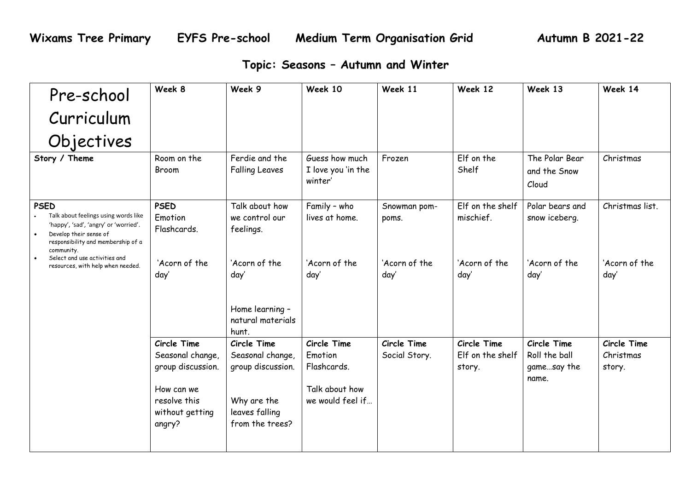## **Topic: Seasons – Autumn and Winter**

| Pre-school                                                                                                                                                                 | Week 8                                                                                                          | Week 9                                                                                                   | Week 10                                                                     | Week 11                      | Week 12                                   | Week 13                                              | Week 14                            |
|----------------------------------------------------------------------------------------------------------------------------------------------------------------------------|-----------------------------------------------------------------------------------------------------------------|----------------------------------------------------------------------------------------------------------|-----------------------------------------------------------------------------|------------------------------|-------------------------------------------|------------------------------------------------------|------------------------------------|
| Curriculum                                                                                                                                                                 |                                                                                                                 |                                                                                                          |                                                                             |                              |                                           |                                                      |                                    |
| Objectives                                                                                                                                                                 |                                                                                                                 |                                                                                                          |                                                                             |                              |                                           |                                                      |                                    |
| Story / Theme                                                                                                                                                              | Room on the<br>Broom                                                                                            | Ferdie and the<br><b>Falling Leaves</b>                                                                  | Guess how much<br>I love you 'in the<br>winter'                             | Frozen                       | Elf on the<br>Shelf                       | The Polar Bear<br>and the Snow<br>Cloud              | Christmas                          |
| <b>PSED</b><br>Talk about feelings using words like<br>'happy', 'sad', 'angry' or 'worried'.<br>Develop their sense of<br>responsibility and membership of a<br>community. | <b>PSED</b><br>Emotion<br>Flashcards.                                                                           | Talk about how<br>we control our<br>feelings.                                                            | Family - who<br>lives at home.                                              | Snowman pom-<br>poms.        | Elf on the shelf<br>mischief.             | Polar bears and<br>snow iceberg.                     | Christmas list.                    |
| Select and use activities and<br>resources, with help when needed.                                                                                                         | 'Acorn of the<br>day'                                                                                           | 'Acorn of the<br>day'<br>Home learning -<br>natural materials<br>hunt.                                   | 'Acorn of the<br>day'                                                       | 'Acorn of the<br>day'        | 'Acorn of the<br>day'                     | 'Acorn of the<br>day'                                | 'Acorn of the<br>day'              |
|                                                                                                                                                                            | Circle Time<br>Seasonal change,<br>group discussion.<br>How can we<br>resolve this<br>without getting<br>angry? | Circle Time<br>Seasonal change,<br>group discussion.<br>Why are the<br>leaves falling<br>from the trees? | Circle Time<br>Emotion<br>Flashcards.<br>Talk about how<br>we would feel if | Circle Time<br>Social Story. | Circle Time<br>Elf on the shelf<br>story. | Circle Time<br>Roll the ball<br>gamesay the<br>name. | Circle Time<br>Christmas<br>story. |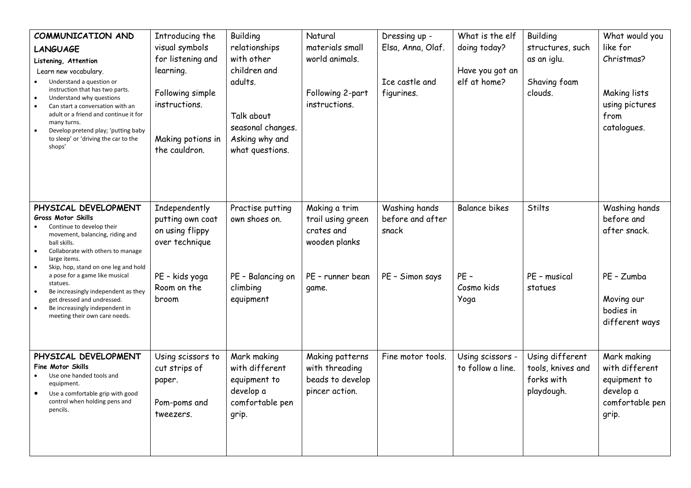| COMMUNICATION AND<br><b>LANGUAGE</b><br>Listening, Attention<br>Learn new vocabulary.<br>Understand a question or<br>instruction that has two parts.<br>Understand why questions<br>Can start a conversation with an<br>adult or a friend and continue it for<br>many turns.<br>Develop pretend play; 'putting baby<br>to sleep' or 'driving the car to the<br>shops'                                                                   | Introducing the<br>visual symbols<br>for listening and<br>learning.<br>Following simple<br>instructions.<br>Making potions in<br>the cauldron. | <b>Building</b><br>relationships<br>with other<br>children and<br>adults.<br>Talk about<br>seasonal changes.<br>Asking why and<br>what questions. | Natural<br>materials small<br>world animals.<br>Following 2-part<br>instructions.              | Dressing up -<br>Elsa, Anna, Olaf.<br>Ice castle and<br>figurines. | What is the elf<br>doing today?<br>Have you got an<br>elf at home? | <b>Building</b><br>structures, such<br>as an iglu.<br>Shaving foam<br>clouds. | What would you<br>like for<br>Christmas?<br>Making lists<br>using pictures<br>from<br>catalogues.      |
|-----------------------------------------------------------------------------------------------------------------------------------------------------------------------------------------------------------------------------------------------------------------------------------------------------------------------------------------------------------------------------------------------------------------------------------------|------------------------------------------------------------------------------------------------------------------------------------------------|---------------------------------------------------------------------------------------------------------------------------------------------------|------------------------------------------------------------------------------------------------|--------------------------------------------------------------------|--------------------------------------------------------------------|-------------------------------------------------------------------------------|--------------------------------------------------------------------------------------------------------|
| PHYSICAL DEVELOPMENT<br>Gross Motor Skills<br>Continue to develop their<br>movement, balancing, riding and<br>ball skills.<br>Collaborate with others to manage<br>$\bullet$<br>large items.<br>Skip, hop, stand on one leg and hold<br>a pose for a game like musical<br>statues.<br>Be increasingly independent as they<br>get dressed and undressed.<br>Be increasingly independent in<br>$\bullet$<br>meeting their own care needs. | Independently<br>putting own coat<br>on using flippy<br>over technique<br>PE - kids yoga<br>Room on the<br>broom                               | Practise putting<br>own shoes on.<br>PE - Balancing on<br>climbing<br>equipment                                                                   | Making a trim<br>trail using green<br>crates and<br>wooden planks<br>PE - runner bean<br>game. | Washing hands<br>before and after<br>snack<br>PE - Simon says      | <b>Balance bikes</b><br>$PE -$<br>Cosmo kids<br>Yoga               | Stilts<br>PE - musical<br>statues                                             | Washing hands<br>before and<br>after snack.<br>PE - Zumba<br>Moving our<br>bodies in<br>different ways |
| PHYSICAL DEVELOPMENT<br><b>Fine Motor Skills</b><br>Use one handed tools and<br>equipment.<br>Use a comfortable grip with good<br>control when holding pens and<br>pencils.                                                                                                                                                                                                                                                             | Using scissors to<br>cut strips of<br>paper.<br>Pom-poms and<br>tweezers.                                                                      | Mark making<br>with different<br>equipment to<br>develop a<br>comfortable pen<br>grip.                                                            | Making patterns<br>with threading<br>beads to develop<br>pincer action.                        | Fine motor tools.                                                  | Using scissors -<br>to follow a line.                              | Using different<br>tools, knives and<br>forks with<br>playdough.              | Mark making<br>with different<br>equipment to<br>develop a<br>comfortable pen<br>grip.                 |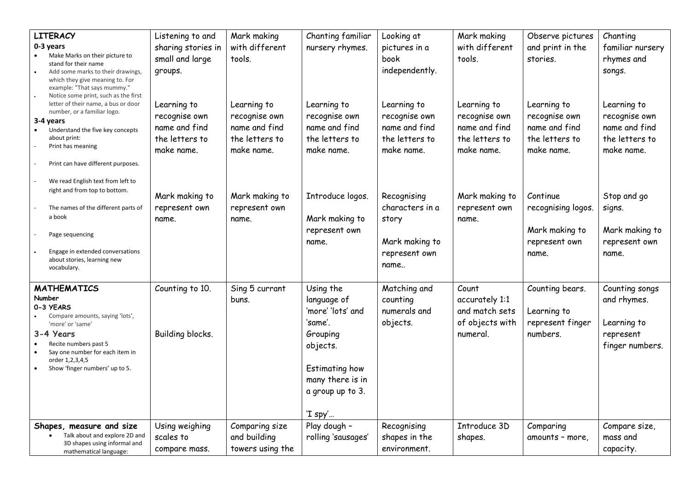| <b>LITERACY</b><br>0-3 years<br>Make Marks on their picture to<br>stand for their name<br>Add some marks to their drawings,<br>which they give meaning to. For<br>example: "That says mummy."<br>Notice some print, such as the first<br>letter of their name, a bus or door<br>number, or a familiar logo.<br>3-4 years<br>Understand the five key concepts<br>about print:<br>Print has meaning | Listening to and<br>sharing stories in<br>small and large<br>groups.<br>Learning to<br>recognise own<br>name and find<br>the letters to<br>make name. | Mark making<br>with different<br>tools.<br>Learning to<br>recognise own<br>name and find<br>the letters to<br>make name. | Chanting familiar<br>nursery rhymes.<br>Learning to<br>recognise own<br>name and find<br>the letters to<br>make name.                                          | Looking at<br>pictures in a<br>book<br>independently.<br>Learning to<br>recognise own<br>name and find<br>the letters to<br>make name. | Mark making<br>with different<br>tools.<br>Learning to<br>recognise own<br>name and find<br>the letters to<br>make name. | Observe pictures<br>and print in the<br>stories.<br>Learning to<br>recognise own<br>name and find<br>the letters to<br>make name. | Chanting<br>familiar nursery<br>rhymes and<br>songs.<br>Learning to<br>recognise own<br>name and find<br>the letters to<br>make name. |
|---------------------------------------------------------------------------------------------------------------------------------------------------------------------------------------------------------------------------------------------------------------------------------------------------------------------------------------------------------------------------------------------------|-------------------------------------------------------------------------------------------------------------------------------------------------------|--------------------------------------------------------------------------------------------------------------------------|----------------------------------------------------------------------------------------------------------------------------------------------------------------|----------------------------------------------------------------------------------------------------------------------------------------|--------------------------------------------------------------------------------------------------------------------------|-----------------------------------------------------------------------------------------------------------------------------------|---------------------------------------------------------------------------------------------------------------------------------------|
| Print can have different purposes.<br>We read English text from left to<br>right and from top to bottom.<br>The names of the different parts of<br>a book<br>Page sequencing<br>Engage in extended conversations<br>about stories, learning new<br>vocabulary.                                                                                                                                    | Mark making to<br>represent own<br>name.                                                                                                              | Mark making to<br>represent own<br>name.                                                                                 | Introduce logos.<br>Mark making to<br>represent own<br>name.                                                                                                   | Recognising<br>characters in a<br>story<br>Mark making to<br>represent own<br>name                                                     | Mark making to<br>represent own<br>name.                                                                                 | Continue<br>recognising logos.<br>Mark making to<br>represent own<br>name.                                                        | Stop and go<br>signs.<br>Mark making to<br>represent own<br>name.                                                                     |
| <b>MATHEMATICS</b><br>Number<br>0-3 YEARS<br>Compare amounts, saying 'lots',<br>'more' or 'same'<br>3-4 Years<br>Recite numbers past 5<br>$\bullet$<br>Say one number for each item in<br>order 1,2,3,4,5<br>Show 'finger numbers' up to 5.                                                                                                                                                       | Counting to 10.<br>Building blocks.                                                                                                                   | Sing 5 currant<br>buns.                                                                                                  | Using the<br>language of<br>'more' 'lots' and<br>'same'.<br>Grouping<br>objects.<br><b>Estimating how</b><br>many there is in<br>a group up to 3.<br>$'T$ spy' | Matching and<br>counting<br>numerals and<br>objects.                                                                                   | Count<br>accurately 1:1<br>and match sets<br>of objects with<br>numeral.                                                 | Counting bears.<br>Learning to<br>represent finger<br>numbers.                                                                    | Counting songs<br>and rhymes.<br>Learning to<br>represent<br>finger numbers.                                                          |
| Shapes, measure and size<br>Talk about and explore 2D and<br>$\bullet$<br>3D shapes using informal and<br>mathematical language:                                                                                                                                                                                                                                                                  | Using weighing<br>scales to<br>compare mass.                                                                                                          | Comparing size<br>and building<br>towers using the                                                                       | Play dough -<br>rolling 'sausages'                                                                                                                             | Recognising<br>shapes in the<br>environment.                                                                                           | Introduce 3D<br>shapes.                                                                                                  | Comparing<br>amounts - more,                                                                                                      | Compare size,<br>mass and<br>capacity.                                                                                                |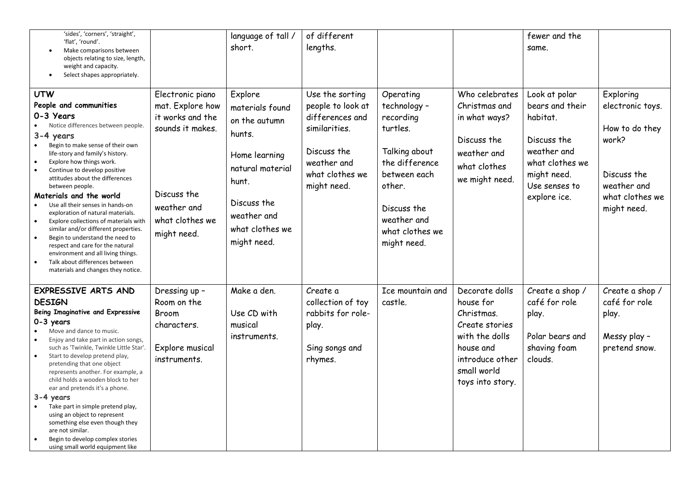| 'sides', 'corners', 'straight',<br>'flat', 'round'.<br>Make comparisons between<br>objects relating to size, length,<br>weight and capacity.<br>Select shapes appropriately.                                                                                                                                                                                                                                                                                                                                                                                                                                                                                                                       |                                                                                                                                              | language of tall /<br>short.                                                                                                                                        | of different<br>lengths.                                                                                                                 |                                                                                                                                                                                 |                                                                                                                                                  | fewer and the<br>same.                                                                                                                        |                                                                                                                          |
|----------------------------------------------------------------------------------------------------------------------------------------------------------------------------------------------------------------------------------------------------------------------------------------------------------------------------------------------------------------------------------------------------------------------------------------------------------------------------------------------------------------------------------------------------------------------------------------------------------------------------------------------------------------------------------------------------|----------------------------------------------------------------------------------------------------------------------------------------------|---------------------------------------------------------------------------------------------------------------------------------------------------------------------|------------------------------------------------------------------------------------------------------------------------------------------|---------------------------------------------------------------------------------------------------------------------------------------------------------------------------------|--------------------------------------------------------------------------------------------------------------------------------------------------|-----------------------------------------------------------------------------------------------------------------------------------------------|--------------------------------------------------------------------------------------------------------------------------|
| <b>UTW</b><br>People and communities<br>0-3 Years<br>Notice differences between people.<br>3-4 years<br>Begin to make sense of their own<br>life-story and family's history.<br>Explore how things work.<br>Continue to develop positive<br>$\bullet$<br>attitudes about the differences<br>between people.<br>Materials and the world<br>Use all their senses in hands-on<br>$\bullet$<br>exploration of natural materials.<br>Explore collections of materials with<br>similar and/or different properties.<br>Begin to understand the need to<br>respect and care for the natural<br>environment and all living things.<br>Talk about differences between<br>materials and changes they notice. | Electronic piano<br>mat. Explore how<br>it works and the<br>sounds it makes.<br>Discuss the<br>weather and<br>what clothes we<br>might need. | Explore<br>materials found<br>on the autumn<br>hunts.<br>Home learning<br>natural material<br>hunt.<br>Discuss the<br>weather and<br>what clothes we<br>might need. | Use the sorting<br>people to look at<br>differences and<br>similarities.<br>Discuss the<br>weather and<br>what clothes we<br>might need. | Operating<br>technology -<br>recording<br>turtles.<br>Talking about<br>the difference<br>between each<br>other.<br>Discuss the<br>weather and<br>what clothes we<br>might need. | Who celebrates<br>Christmas and<br>in what ways?<br>Discuss the<br>weather and<br>what clothes<br>we might need.                                 | Look at polar<br>bears and their<br>habitat.<br>Discuss the<br>weather and<br>what clothes we<br>might need.<br>Use senses to<br>explore ice. | Exploring<br>electronic toys.<br>How to do they<br>work?<br>Discuss the<br>weather and<br>what clothes we<br>might need. |
| <b>EXPRESSIVE ARTS AND</b><br><b>DESIGN</b><br>Being Imaginative and Expressive<br>0-3 years<br>Move and dance to music.<br>Enjoy and take part in action songs,<br>such as 'Twinkle, Twinkle Little Star'.<br>Start to develop pretend play,<br>pretending that one object<br>represents another. For example, a<br>child holds a wooden block to her<br>ear and pretends it's a phone.<br>3-4 years<br>Take part in simple pretend play,<br>using an object to represent<br>something else even though they<br>are not similar.<br>Begin to develop complex stories<br>using small world equipment like                                                                                          | Dressing up -<br>Room on the<br><b>Broom</b><br>characters.<br>Explore musical<br>instruments.                                               | Make a den.<br>Use CD with<br>musical<br>instruments.                                                                                                               | Create a<br>collection of toy<br>rabbits for role-<br>play.<br>Sing songs and<br>rhymes.                                                 | Ice mountain and<br>castle.                                                                                                                                                     | Decorate dolls<br>house for<br>Christmas.<br>Create stories<br>with the dolls<br>house and<br>introduce other<br>small world<br>toys into story. | Create a shop /<br>café for role<br>play.<br>Polar bears and<br>shaving foam<br>clouds.                                                       | Create a shop /<br>café for role<br>play.<br>Messy play -<br>pretend snow.                                               |